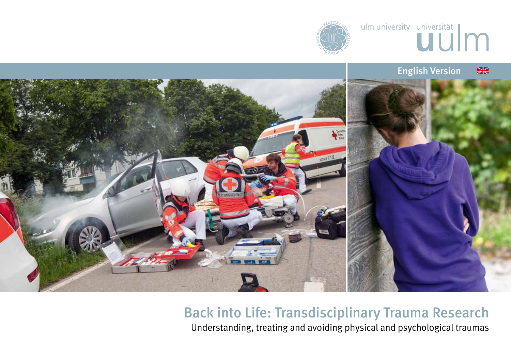





# Back into Life: Transdisciplinary Trauma Research

Understanding, treating and avoiding physical and psychological traumas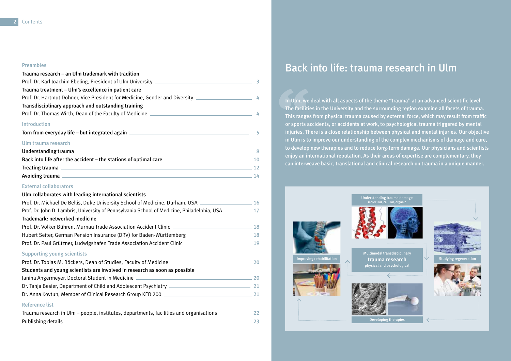#### Preambles

| Trauma research – an Ulm trademark with tradition                                                                                                                                                                                    |   |  |  |  |  |
|--------------------------------------------------------------------------------------------------------------------------------------------------------------------------------------------------------------------------------------|---|--|--|--|--|
|                                                                                                                                                                                                                                      |   |  |  |  |  |
| Trauma treatment – Ulm's excellence in patient care                                                                                                                                                                                  |   |  |  |  |  |
| Prof. Dr. Hartmut Döhner, Vice President for Medicine, Gender and Diversity ________________________ 4                                                                                                                               |   |  |  |  |  |
| Transdisciplinary approach and outstanding training                                                                                                                                                                                  |   |  |  |  |  |
|                                                                                                                                                                                                                                      |   |  |  |  |  |
| <b>Introduction</b>                                                                                                                                                                                                                  |   |  |  |  |  |
| Torn from everyday life – but integrated again entitled and the control of the control of the control of the control of the control of the control of the control of the control of the control of the control of the control        | 5 |  |  |  |  |
| Ulm trauma research                                                                                                                                                                                                                  |   |  |  |  |  |
| Understanding trauma 2002 and 2003 and 2003 and 2004 and 2008 and 2008 and 2008 and 2008 and 2008 and 2008 and                                                                                                                       |   |  |  |  |  |
| <b>Back into life after the accident – the stations of optimal care</b> 2000 2000 2000 2000 2000 2000 200                                                                                                                            |   |  |  |  |  |
| Treating trauma 2002 and 2003 and 2003 and 2004 and 2008 and 2008 and 2008 and 2008 and 2008 and 200                                                                                                                                 |   |  |  |  |  |
| Avoiding trauma <u>experience and the contract of the contract of the contract of the contract of the contract of the contract of the contract of the contract of the contract of the contract of the contract of the contract o</u> |   |  |  |  |  |

#### External collaborators

#### Ulm collaborates with leading international scientists

| Prof. Dr. Michael De Bellis, Duke University School of Medicine, Durham, USA ___________                                               | 16 |  |  |  |
|----------------------------------------------------------------------------------------------------------------------------------------|----|--|--|--|
| Prof. Dr. John D. Lambris, University of Pennsylvania School of Medicine, Philadelphia, USA                                            |    |  |  |  |
| Trademark: networked medicine                                                                                                          |    |  |  |  |
| Prof. Dr. Volker Bühren, Murnau Trade Association Accident Clinic _______________                                                      | 18 |  |  |  |
| Hubert Seiter, German Pension Insurance (DRV) for Baden-Württemberg                                                                    | 18 |  |  |  |
| Prof. Dr. Paul Grützner, Ludwigshafen Trade Association Accident Clinic _______________                                                | 19 |  |  |  |
| <b>Supporting young scientists</b>                                                                                                     |    |  |  |  |
| Prof. Dr. Tobias M. Böckers, Dean of Studies, Faculty of Medicine                                                                      | 20 |  |  |  |
| Students and young scientists are involved in research as soon as possible                                                             |    |  |  |  |
| Janina Angermeyer, Doctoral Student in Medicine                                                                                        | 20 |  |  |  |
| Dr. Tanja Besier, Department of Child and Adolescent Psychiatry [1986] Dr. Tanja Besier, Department of Child and Adolescent Psychiatry | 21 |  |  |  |
| Dr. Anna Kovtun, Member of Clinical Research Group KFO 200                                                                             | 21 |  |  |  |
| <b>Reference list</b>                                                                                                                  |    |  |  |  |
| Trauma research in Ulm – people, institutes, departments, facilities and organisations                                                 | 22 |  |  |  |

Publishing details 23

# Back into life: trauma research in Ulm

In Ulm, we deal with all aspects of the theme "trauma" at an advanced scientific level. The facilities in the University and the surrounding region examine all facets of trauma. This ranges from physical trauma caused by external force, which may result from traffic or sports accidents, or accidents at work, to psychological trauma triggered by mental injuries. There is a close relationship between physical and mental injuries. Our objective in Ulm is to improve our understanding of the complex mechanisms of damage and cure, to develop new therapies and to reduce long-term damage. Our physicians and scientists enjoy an international reputation. As their areas of expertise are complementary, they can interweave basic, translational and clinical research on trauma in a unique manner.

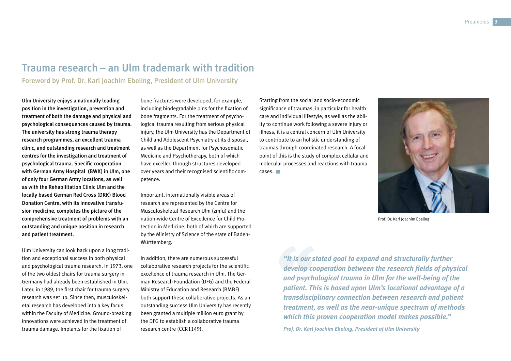# Trauma research – an Ulm trademark with tradition

Foreword by Prof. Dr. Karl Joachim Ebeling, President of Ulm University

Ulm University enjoys a nationally leading position in the investigation, prevention and treatment of both the damage and physical and psychological consequences caused by trauma. The university has strong trauma therapy research programmes, an excellent trauma clinic, and outstanding research and treatment centres for the investigation and treatment of psychological trauma. Specific cooperation with German Army Hospital (BWK) in Ulm, one of only four German Army locations, as well as with the Rehabilitation Clinic Ulm and the locally based German Red Cross (DRK) Blood Donation Centre, with its innovative transfusion medicine, completes the picture of the comprehensive treatment of problems with an outstanding and unique position in research and patient treatment.

Ulm University can look back upon a long tradition and exceptional success in both physical and psychological trauma research. In 1973, one of the two oldest chairs for trauma surgery in Germany had already been established in Ulm. Later, in 1989, the first chair for trauma surgery research was set up. Since then, musculoskeletal research has developed into a key focus within the Faculty of Medicine. Ground-breaking innovations were achieved in the treatment of trauma damage. Implants for the fixation of

bone fractures were developed, for example, including biodegradable pins for the fixation of bone fragments. For the treatment of psychological trauma resulting from serious physical injury, the Ulm University has the Department of Child and Adolescent Psychiatry at its disposal, as well as the Department for Psychosomatic Medicine and Psychotherapy, both of which have excelled through structures developed over years and their recognised scientific competence.

Important, internationally visible areas of research are represented by the Centre for Musculoskeletal Research Ulm (zmfu) and the nation-wide Centre of Excellence for Child Protection in Medicine, both of which are supported by the Ministry of Science of the state of Baden-Württemberg.

In addition, there are numerous successful collaborative research projects for the scientific excellence of trauma research in Ulm. The German Research Foundation (DFG) and the Federal Ministry of Education and Research (BMBF) both support these collaborative projects. As an outstanding success Ulm University has recently been granted a multiple million euro grant by the DFG to establish a collaborative trauma research centre (CCR1149).

Starting from the social and socio-economic significance of traumas, in particular for health care and individual lifestyle, as well as the ability to continue work following a severe injury or illness, it is a central concern of Ulm University to contribute to an holistic understanding of traumas through coordinated research. A focal point of this is the study of complex cellular and molecular processes and reactions with trauma cases.



Prof. Dr. Karl Joachim Ebeling

*"It is our stated goal to expand and structurally further develop cooperation between the research fields of physical and psychological trauma in Ulm for the well-being of the patient. This is based upon Ulm's locational advantage of a transdisciplinary connection between research and patient treatment, as well as the near-unique spectrum of methods which this proven cooperation model makes possible."*

*Prof. Dr. Karl Joachim Ebeling, President of Ulm University*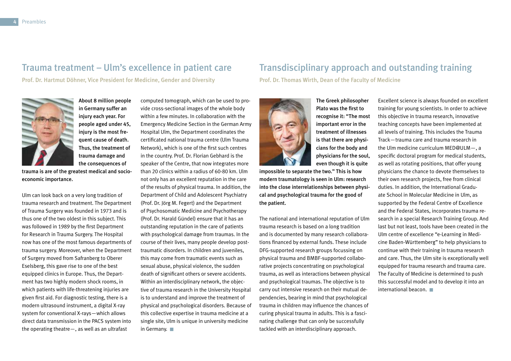### Trauma treatment – Ulm's excellence in patient care

Prof. Dr. Hartmut Döhner, Vice President for Medicine, Gender and Diversity



About 8 million people in Germany suffer an injury each year. For people aged under 45, injury is the most frequent cause of death. Thus, the treatment of trauma damage and the consequences of

trauma is are of the greatest medical and socioeconomic importance.

Ulm can look back on a very long tradition of trauma research and treatment. The Department of Trauma Surgery was founded in 1973 and is thus one of the two oldest in this subject. This was followed in 1989 by the first Department for Research in Trauma Surgery. The Hospital now has one of the most famous departments of trauma surgery. Moreover, when the Department of Surgery moved from Safranberg to Oberer Eselsberg, this gave rise to one of the best equipped clinics in Europe. Thus, the Department has two highly modern shock rooms, in which patients with life-threatening injuries are given first aid. For diagnostic testing, there is a modern ultrasound instrument, a digital X-ray system for conventional X-rays—which allows direct data transmission in the PACS system into the operating theatre—, as well as an ultrafast

computed tomograph, which can be used to provide cross-sectional images of the whole body within a few minutes. In collaboration with the Emergency Medicine Section in the German Army Hospital Ulm, the Department coordinates the certificated national trauma centre (Ulm Trauma Network), which is one of the first such centres in the country. Prof. Dr. Florian Gebhard is the speaker of the Centre, that now integrates more than 20 clinics within a radius of 60-80 km. Ulm not only has an excellent reputation in the care of the results of physical trauma. In addition, the Department of Child and Adolescent Psychiatry (Prof. Dr. Jörg M. Fegert) and the Department of Psychosomatic Medicine and Psychotherapy (Prof. Dr. Harald Gündel) ensure that it has an outstanding reputation in the care of patients with psychological damage from traumas. In the course of their lives, many people develop posttraumatic disorders. In children and juveniles, this may come from traumatic events such as sexual abuse, physical violence, the sudden death of significant others or severe accidents. Within an interdisciplinary network, the objective of trauma research in the University Hospital is to understand and improve the treatment of physical and psychological disorders. Because of this collective expertise in trauma medicine at a single site, Ulm is unique in university medicine in Germany.

## Transdisciplinary approach and outstanding training

Prof. Dr. Thomas Wirth, Dean of the Faculty of Medicine



The Greek philosopher Plato was the first to recognise it: "The most important error in the treatment of illnesses is that there are physicians for the body and physicians for the soul, even though it is quite

impossible to separate the two." This is how modern traumatology is seen in Ulm: research into the close interrelationships between physical and psychological trauma for the good of the patient.

The national and international reputation of Ulm trauma research is based on a long tradition and is documented by many research collaborations financed by external funds. These include DFG-supported research groups focussing on physical trauma and BMBF-supported collaborative projects concentrating on psychological trauma, as well as interactions between physical and psychological traumas. The objective is to carry out intensive research on their mutual dependencies, bearing in mind that psychological trauma in children may influence the chances of curing physical trauma in adults. This is a fascinating challenge that can only be successfully tackled with an interdisciplinary approach.

Excellent science is always founded on excellent training for young scientists. In order to achieve this objective in trauma research, innovative teaching concepts have been implemented at all levels of training. This includes the Trauma Track—trauma care and trauma research in the Ulm medicine curriculum MED@ULM—, a specific doctoral program for medical students, as well as rotating positions, that offer young physicians the chance to devote themselves to their own research projects, free from clinical duties. In addition, the International Graduate School in Molecular Medicine in Ulm, as supported by the Federal Centre of Excellence and the Federal States, incorporates trauma research in a special Research Training Group. And last but not least, tools have been created in the Ulm centre of excellence "e-Learning in Medicine Baden-Württemberg" to help physicians to continue with their training in trauma research and care. Thus, the Ulm site is exceptionally well equipped for trauma research and trauma care. The Faculty of Medicine is determined to push this successful model and to develop it into an international beacon.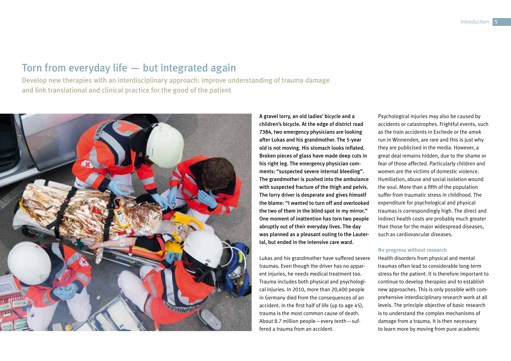# Torn from everyday life — but integrated again

Develop new therapies with an interdisciplinary approach: improve understanding of trauma damage and link translational and clinical practice for the good of the patient



A gravel lorry, an old ladies' bicycle and a children's bicycle. At the edge of district road 7384, two emergency physicians are looking after Lukas and his grandmother. The 5-year old is not moving. His stomach looks inflated. Broken pieces of glass have made deep cuts in his right leg. The emergency physician comments: "suspected severe internal bleeding". The grandmother is pushed into the ambulance with suspected fracture of the thigh and pelvis. The lorry driver is desperate and gives himself the blame: "I wanted to turn off and overlooked the two of them in the blind spot in my mirror." One moment of inattention has torn two people abruptly out of their everyday lives. The day was planned as a pleasant outing to the Lautertal, but ended in the intensive care ward.

Lukas and his grandmother have suffered severe traumas. Even though the driver has no apparent injuries, he needs medical treatment too. Trauma includes both physical and psychological injuries. In 2010, more than 20,400 people in Germany died from the consequences of an accident. In the first half of life (up to age 45), trauma is the most common cause of death. About 8.7 million people—every tenth—suffered a trauma from an accident.

Psychological injuries may also be caused by accidents or catastrophes. Frightful events, such as the train accidents in Eschede or the amok run in Winnenden, are rare and this is just why they are publicised in the media. However, a great deal remains hidden, due to the shame or fear of those affected. Particularly children and women are the victims of domestic violence. Humiliation, abuse and social isolation wound the soul. More than a fifth of the population suffer from traumatic stress in childhood. The expenditure for psychological and physical traumas is correspondingly high. The direct and indirect health costs are probably much greater than those for the major widespread diseases, such as cardiovascular diseases.

#### **No progress without research**

Health disorders from physical and mental traumas often lead to considerable long-term stress for the patient. It is therefore important to continue to develop therapies and to establish new approaches. This is only possible with comprehensive interdisciplinary research work at all levels. The principle objective of basic research is to understand the complex mechanisms of damage from a trauma. It is then necessary to learn more by moving from pure academic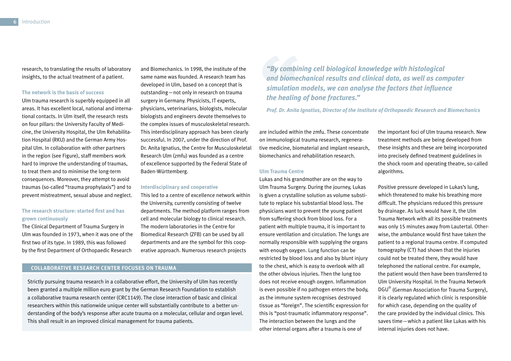research, to translating the results of laboratory insights, to the actual treatment of a patient.

#### **The network is the basis of success**

Ulm trauma research is superbly equipped in all areas. It has excellent local, national and international contacts. In Ulm itself, the research rests on four pillars: the University Faculty of Medicine, the University Hospital, the Ulm Rehabilitation Hospital (RKU) and the German Army Hospital Ulm. In collaboration with other partners in the region (see Figure), staff members work hard to improve the understanding of traumas, to treat them and to minimise the long-term consequences. Moreover, they attempt to avoid traumas (so-called "trauma prophylaxis") and to prevent mistreatment, sexual abuse and neglect.

#### **The research structure: started first and has grown continuously**

The Clinical Department of Trauma Surgery in Ulm was founded in 1973, when it was one of the first two of its type. In 1989, this was followed by the first Department of Orthopaedic Research

and Biomechanics. In 1998, the institute of the same name was founded. A research team has developed in Ulm, based on a concept that is outstanding—not only in research on trauma surgery in Germany. Physicists, IT experts, physicians, veterinarians, biologists, molecular biologists and engineers devote themselves to the complex issues of musculoskeletal research. This interdisciplinary approach has been clearly successful. In 2007, under the direction of Prof. Dr. Anita Ignatius, the Centre for Musculoskeletal Research Ulm (zmfu) was founded as a centre of excellence supported by the Federal State of Baden-Württemberg.

#### **Interdisciplinary and cooperative**

This led to a centre of excellence network within the University, currently consisting of twelve departments. The method platform ranges from cell and molecular biology to clinical research. The modern laboratories in the Centre for Biomedical Research (ZFB) can be used by all departments and are the symbol for this cooperative approach. Numerous research projects

#### **COLLABORATIVE RESEARCH CENTER FOCUSES ON TRAUMA**

Strictly pursuing trauma research in a collaborative effort, the University of Ulm has recently been granted a multiple million euro grant by the German Research Foundation to establish a collaborative trauma research center (CRC1149). The close interaction of basic and clinical researchers within this nationwide unique center will substantially contribute to a better understanding of the body's response after acute trauma on a molecular, cellular and organ level. This shall result in an improved clinical management for trauma patients.

*"By combining cell biological knowledge with histological and biomechanical results and clinical data, as well as computer simulation models, we can analyse the factors that influence the healing of bone fractures."* 

*Prof. Dr. Anita Ignatius, Director of the Institute of Orthopaedic Research and Biomechanics* 

are included within the zmfu. These concentrate on immunological trauma research, regenerative medicine, biomaterial and implant research, biomechanics and rehabilitation research.

#### **Ulm Trauma Centre**

Lukas and his grandmother are on the way to Ulm Trauma Surgery. During the journey, Lukas is given a crystalline solution as volume substitute to replace his substantial blood loss. The physicians want to prevent the young patient from suffering shock from blood loss. For a patient with multiple trauma, it is important to ensure ventilation and circulation. The lungs are normally responsible with supplying the organs with enough oxygen. Lung function can be restricted by blood loss and also by blunt injury to the chest, which is easy to overlook with all the other obvious injuries. Then the lung too does not receive enough oxygen. Inflammation is even possible if no pathogen enters the body, as the immune system recognises destroyed tissue as "foreign". The scientific expression for this is "post-traumatic inflammatory response". The interaction between the lungs and the other internal organs after a trauma is one of

the important foci of Ulm trauma research. New treatment methods are being developed from these insights and these are being incorporated into precisely defined treatment guidelines in the shock room and operating theatre, so-called algorithms.

Positive pressure developed in Lukas's lung, which threatened to make his breathing more difficult. The physicians reduced this pressure by drainage. As luck would have it, the Ulm Trauma Network with all its possible treatments was only 15 minutes away from Lautertal. Otherwise, the ambulance would first have taken the patient to a regional trauma centre. If computed tomography (CT) had shown that the injuries could not be treated there, they would have telephoned the national centre. For example, the patient would then have been transferred to Ulm University Hospital. In the Trauma Network DGU® (German Association for Trauma Surgery), it is clearly regulated which clinic is responsible for which case, depending on the quality of the care provided by the individual clinics. This saves time—which a patient like Lukas with his internal injuries does not have.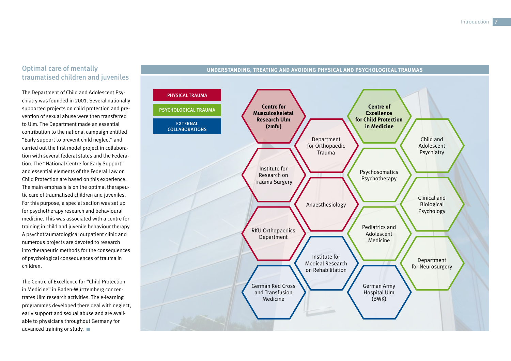#### Optimal care of mentally traumatised children and juveniles

The Department of Child and Adolescent Psychiatry was founded in 2001. Several nationally supported projects on child protection and prevention of sexual abuse were then transferred to Ulm. The Department made an essential contribution to the national campaign entitled "Early support to prevent child neglect" and carried out the first model project in collaboration with several federal states and the Federation. The "National Centre for Early Support" and essential elements of the Federal Law on Child Protection are based on this experience. The main emphasis is on the optimal therapeutic care of traumatised children and juveniles. For this purpose, a special section was set up for psychotherapy research and behavioural medicine. This was associated with a centre for training in child and juvenile behaviour therapy. A psychotraumatological outpatient clinic and numerous projects are devoted to research into therapeutic methods for the consequences of psychological consequences of trauma in children.

The Centre of Excellence for "Child Protection in Medicine" in Baden-Württemberg concentrates Ulm research activities. The e-learning programmes developed there deal with neglect, early support and sexual abuse and are available to physicians throughout Germany for advanced training or study.



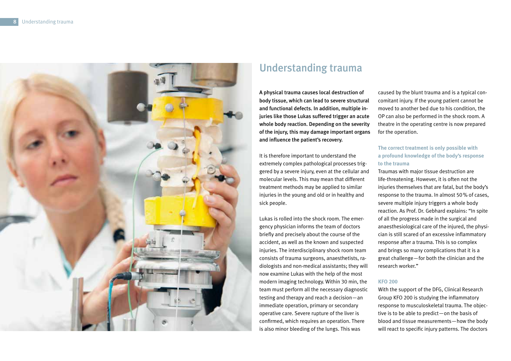

# Understanding trauma

A physical trauma causes local destruction of body tissue, which can lead to severe structural and functional defects. In addition, multiple injuries like those Lukas suffered trigger an acute whole body reaction. Depending on the severity of the injury, this may damage important organs and influence the patient's recovery.

It is therefore important to understand the extremely complex pathological processes triggered by a severe injury, even at the cellular and molecular levels. This may mean that different treatment methods may be applied to similar injuries in the young and old or in healthy and sick people.

Lukas is rolled into the shock room. The emergency physician informs the team of doctors briefly and precisely about the course of the accident, as well as the known and suspected injuries. The interdisciplinary shock room team consists of trauma surgeons, anaesthetists, radiologists and non-medical assistants; they will now examine Lukas with the help of the most modern imaging technology. Within 30 min, the team must perform all the necessary diagnostic testing and therapy and reach a decision—an immediate operation, primary or secondary operative care. Severe rupture of the liver is confirmed, which requires an operation. There is also minor bleeding of the lungs. This was

caused by the blunt trauma and is a typical concomitant injury. If the young patient cannot be moved to another bed due to his condition, the OP can also be performed in the shock room. A theatre in the operating centre is now prepared for the operation.

#### **The correct treatment is only possible with a profound knowledge of the body's response to the trauma**

Traumas with major tissue destruction are life-threatening. However, it is often not the injuries themselves that are fatal, but the body's response to the trauma. In almost 50% of cases, severe multiple injury triggers a whole body reaction. As Prof. Dr. Gebhard explains: "In spite of all the progress made in the surgical and anaesthesiological care of the injured, the physician is still scared of an excessive inflammatory response after a trauma. This is so complex and brings so many complications that it is a great challenge—for both the clinician and the research worker."

#### **KFO 200**

With the support of the DFG, Clinical Research Group KFO 200 is studying the inflammatory response to musculoskeletal trauma. The objective is to be able to predict—on the basis of blood and tissue measurements—how the body will react to specific injury patterns. The doctors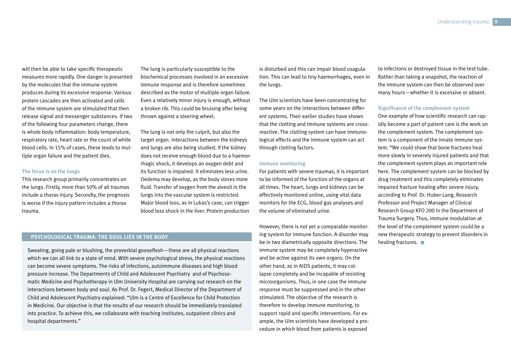will then be able to take specific therapeutic measures more rapidly. One danger is presented by the molecules that the immune system produces during its excessive response. Various protein cascades are then activated and cells of the immune system are stimulated that then release signal and messenger substances. If two of the following four parameters change, there is whole body inflammation: body temperature, respiratory rate, heart rate or the count of white blood cells. In 15% of cases, these leads to multiple organ failure and the patient dies.

#### **The focus is on the lungs**

This research group primarily concentrates on the lungs. Firstly, more than 50% of all traumas include a thorax injury. Secondly, the prognosis is worse if the injury pattern includes a thorax trauma.

The lung is particularly susceptible to the biochemical processes involved in an excessive immune response and is therefore sometimes described as the motor of multiple organ failure. Even a relatively minor injury is enough, without a broken rib. This could be bruising after being thrown against a steering wheel.

The lung is not only the culprit, but also the target organ. Interactions between the kidneys and lungs are also being studied. If the kidney does not receive enough blood due to a haemorrhagic shock, it develops an oxygen debt and its function is impaired. It eliminates less urine. Oedema may develop, as the body stores more fluid. Transfer of oxygen from the alveoli in the lungs into the vascular system is restricted. Major blood loss, as in Lukas's case, can trigger blood loss shock in the liver. Protein production

#### **PSYCHOLOGICAL TRAUMA: THE SOUL LIES IN THE BODY**

Sweating, going pale or blushing, the proverbial gooseflesh—these are all physical reactions which we can all link to a state of mind. With severe psychological stress, the physical reactions can become severe symptoms. The risks of infections, autoimmune diseases and high blood pressure increase. The Departments of Child and Adolescent Psychiatry and of Psychosomatic Medicine and Psychotherapy in Ulm University Hospital are carrying out research on the interactions between body and soul. As Prof. Dr. Fegert, Medical Director of the Department of Child and Adolescent Psychiatry explained: "Ulm is a Centre of Excellence for Child Protection in Medicine. Our objective is that the results of our research should be immediately translated into practice. To achieve this, we collaborate with teaching institutes, outpatient clinics and hospital departments."

is disturbed and this can impair blood coagulation. This can lead to tiny haemorrhages, even in the lungs.

The Ulm scientists have been concentrating for some years on the interactions between different systems. Their earlier studies have shown that the clotting and immune systems are crossreactive. The clotting system can have immunological effects and the immune system can act through clotting factors.

#### **Immune monitoring**

For patients with severe traumas, it is important to be informed of the function of the organs at all times. The heart, lungs and kidneys can be effectively monitored online, using vital data monitors for the ECG, blood gas analyses and the volume of eliminated urine.

However, there is not yet a comparable monitoring system for immune function. A disorder may be in two diametrically opposite directions. The immune system may be completely hyperactive and be active against its own organs. On the other hand, as in AIDS patients, it may collapse completely and be incapable of resisting microorganisms. Thus, in one case the immune response must be suppressed and in the other stimulated. The objective of the research is therefore to develop immune monitoring, to support rapid and specific interventions. For example, the Ulm scientists have developed a procedure in which blood from patients is exposed

to infections or destroyed tissue in the test tube. Rather than taking a snapshot, the reaction of the immune system can then be observed over many hours—whether it is excessive or absent.

#### **Significance of the complement system**

One example of how scientific research can rapidly become a part of patient care is the work on the complement system. The complement system is a component of the innate immune system. "We could show that bone fractures heal more slowly in severely injured patients and that the complement system plays an important role here. The complement system can be blocked by drug treatment and this completely eliminates impaired fracture healing after severe injury, according to Prof. Dr. Huber-Lang, Research Professor and Project Manager of Clinical Research Group KFO 200 in the Department of Trauma Surgery. Thus, immune modulation at the level of the complement system could be a new therapeutic strategy to prevent disorders in healing fractures.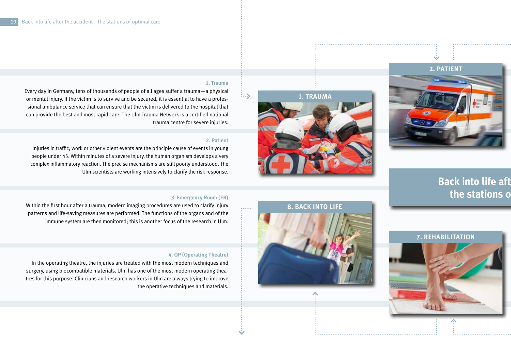

**Back into life aft** 

the stations o

**7. REHABILITATION**

# **1. TRAUMA**

#### **1. Trauma**

 $\ldots$ 

Every day in Germany, tens of thousands of people of all ages suffer a trauma—a physical or mental injury. If the victim is to survive and be secured, it is essential to have a professional ambulance service that can ensure that the victim is delivered to the hospital that can provide the best and most rapid care. The Ulm Trauma Network is a certified national trauma centre for severe injuries.

#### **2. Patient**

Injuries in traffic, work or other violent events are the principle cause of events in young people under 45. Within minutes of a severe injury, the human organism develops a very complex inflammatory reaction. The precise mechanisms are still poorly understood. The Ulm scientists are working intensively to clarify the risk response.

#### **3. Emergency Room (ER)**

Within the first hour after a trauma, modern imaging procedures are used to clarify injury patterns and life-saving measures are performed. The functions of the organs and of the immune system are then monitored; this is another focus of the research in Ulm.

#### **4. OP (Operating Theatre)**

In the operating theatre, the injuries are treated with the most modern techniques and surgery, using biocompatible materials. Ulm has one of the most modern operating theatres for this purpose. Clinicians and research workers in Ulm are always trying to improve the operative techniques and materials.

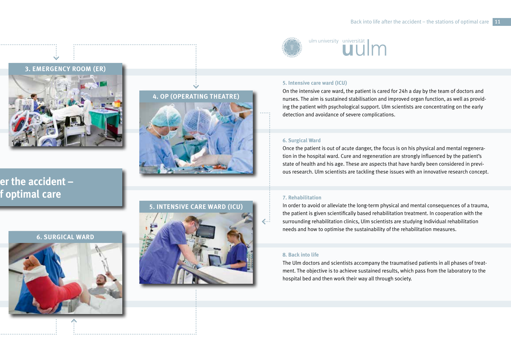





# **4. OP (OPERATING THEATRE)**

#### **5. INTENSIVE CARE WARD (ICU)**



# ulm university universität

#### **5. Intensive care ward (ICU)**

On the intensive care ward, the patient is cared for 24h a day by the team of doctors and nurses. The aim is sustained stabilisation and improved organ function, as well as providing the patient with psychological support. Ulm scientists are concentrating on the early detection and avoidance of severe complications.

#### **6. Surgical Ward**

Once the patient is out of acute danger, the focus is on his physical and mental regeneration in the hospital ward. Cure and regeneration are strongly influenced by the patient's state of health and his age. These are aspects that have hardly been considered in previous research. Ulm scientists are tackling these issues with an innovative research concept.

#### **7. Rehabilitation**

In order to avoid or alleviate the long-term physical and mental consequences of a trauma, the patient is given scientifically based rehabilitation treatment. In cooperation with the surrounding rehabilitation clinics, Ulm scientists are studying Individual rehabilitation needs and how to optimise the sustainability of the rehabilitation measures.

#### **8. Back into life**

The Ulm doctors and scientists accompany the traumatised patients in all phases of treatment. The objective is to achieve sustained results, which pass from the laboratory to the hospital bed and then work their way all through society.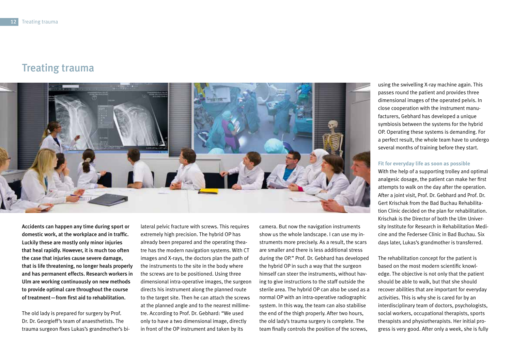# Treating trauma



Accidents can happen any time during sport or domestic work, at the workplace and in traffic. Luckily these are mostly only minor injuries that heal rapidly. However, it is much too often the case that injuries cause severe damage, that is life threatening, no longer heals properly and has permanent effects. Research workers in Ulm are working continuously on new methods to provide optimal care throughout the course of treatment—from first aid to rehabilitation.

The old lady is prepared for surgery by Prof. Dr. Dr. Georgieff's team of anaesthetists. The trauma surgeon fixes Lukas's grandmother's bilateral pelvic fracture with screws. This requires extremely high precision. The hybrid OP has already been prepared and the operating theatre has the modern navigation systems. With CT images and X-rays, the doctors plan the path of the instruments to the site in the body where the screws are to be positioned. Using three dimensional intra-operative images, the surgeon directs his instrument along the planned route to the target site. Then he can attach the screws at the planned angle and to the nearest millimetre. According to Prof. Dr. Gebhard: "We used only to have a two dimensional image, directly in front of the OP instrument and taken by its

camera. But now the navigation instruments show us the whole landscape. I can use my instruments more precisely. As a result, the scars are smaller and there is less additional stress during the OP." Prof. Dr. Gebhard has developed the hybrid OP in such a way that the surgeon himself can steer the instruments, without having to give instructions to the staff outside the sterile area. The hybrid OP can also be used as a normal OP with an intra-operative radiographic system. In this way, the team can also stabilise the end of the thigh properly. After two hours, the old lady's trauma surgery is complete. The team finally controls the position of the screws,

using the swivelling X-ray machine again. This passes round the patient and provides three dimensional images of the operated pelvis. In close cooperation with the instrument manufacturers, Gebhard has developed a unique symbiosis between the systems for the hybrid OP. Operating these systems is demanding. For a perfect result, the whole team have to undergo several months of training before they start.

#### **Fit for everyday life as soon as possible**

With the help of a supporting trolley and optimal analgesic dosage, the patient can make her first attempts to walk on the day after the operation. After a joint visit, Prof. Dr. Gebhard and Prof. Dr. Gert Krischak from the Bad Buchau Rehabilitation Clinic decided on the plan for rehabilitation. Krischak is the Director of both the Ulm University Institute for Research in Rehabilitation Medicine and the Federsee Clinic in Bad Buchau. Six days later, Lukas's grandmother is transferred.

The rehabilitation concept for the patient is based on the most modern scientific knowledge. The objective is not only that the patient should be able to walk, but that she should recover abilities that are important for everyday activities. This is why she is cared for by an interdisciplinary team of doctors, psychologists, social workers, occupational therapists, sports therapists and physiotherapists. Her initial progress is very good. After only a week, she is fully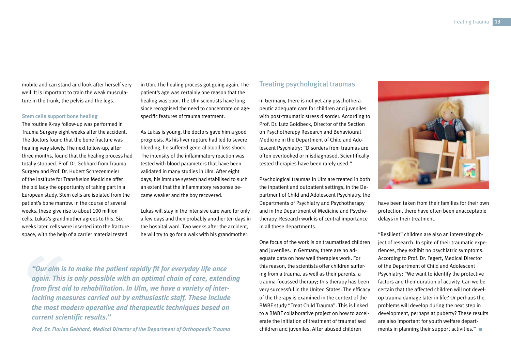mobile and can stand and look after herself very well. It is important to train the weak musculature in the trunk, the pelvis and the legs.

#### **Stem cells support bone healing**

The routine X-ray follow-up was performed in Trauma Surgery eight weeks after the accident. The doctors found that the bone fracture was healing very slowly. The next follow-up, after three months, found that the healing process had totally stopped. Prof. Dr. Gebhard from Trauma Surgery and Prof. Dr. Hubert Schrezenmeier of the Institute for Transfusion Medicine offer the old lady the opportunity of taking part in a European study. Stem cells are isolated from the patient's bone marrow. In the course of several weeks, these give rise to about 100 million cells. Lukas's grandmother agrees to this. Six weeks later, cells were inserted into the fracture space, with the help of a carrier material tested

in Ulm. The healing process got going again. The patient's age was certainly one reason that the healing was poor. The Ulm scientists have long since recognised the need to concentrate on agespecific features of trauma treatment.

As Lukas is young, the doctors gave him a good prognosis. As his liver rupture had led to severe bleeding, he suffered general blood loss shock. The intensity of the inflammatory reaction was tested with blood parameters that have been validated in many studies in Ulm. After eight days, his immune system had stabilised to such an extent that the inflammatory response became weaker and the boy recovered.

Lukas will stay in the intensive care ward for only a few days and then probably another ten days in the hospital ward. Two weeks after the accident, he will try to go for a walk with his grandmother.

*"Our aim is to make the patient rapidly fit for everyday life once again. This is only possible with an optimal chain of care, extending from first aid to rehabilitation. In Ulm, we have a variety of interlocking measures carried out by enthusiastic staff. These include the most modern operative and therapeutic techniques based on current scientific results."* 

*Prof. Dr. Florian Gebhard, Medical Director of the Department of Orthopaedic Trauma*

#### Treating psychological traumas

In Germany, there is not yet any psychotherapeutic adequate care for children and juveniles with post-traumatic stress disorder. According to Prof. Dr. Lutz Goldbeck, Director of the Section on Psychotherapy Research and Behavioural Medicine in the Department of Child and Adolescent Psychiatry: "Disorders from traumas are often overlooked or misdiagnosed. Scientifically tested therapies have been rarely used."

Psychological traumas in Ulm are treated in both the inpatient and outpatient settings, in the Department of Child and Adolescent Psychiatry, the Departments of Psychiatry and Psychotherapy and in the Department of Medicine and Psychotherapy. Research work is of central importance in all these departments.

One focus of the work is on traumatised children and juveniles. In Germany, there are no adequate data on how well therapies work. For this reason, the scientists offer children suffering from a trauma, as well as their parents, a trauma-focussed therapy; this therapy has been very successful in the United States. The efficacy of the therapy is examined in the context of the BMBF study "Treat Child Trauma". This is linked to a BMBF collaborative project on how to accelerate the initiation of treatment of traumatised children and juveniles. After abused children



have been taken from their families for their own protection, there have often been unacceptable delays in their treatment.

"Resilient" children are also an interesting object of research. In spite of their traumatic experiences, they exhibit no psychiatric symptoms. According to Prof. Dr. Fegert, Medical Director of the Department of Child and Adolescent Psychiatry: "We want to identify the protective factors and their duration of activity. Can we be certain that the affected children will not develop trauma damage later in life? Or perhaps the problems will develop during the next step in development, perhaps at puberty? These results are also important for youth welfare departments in planning their support activities."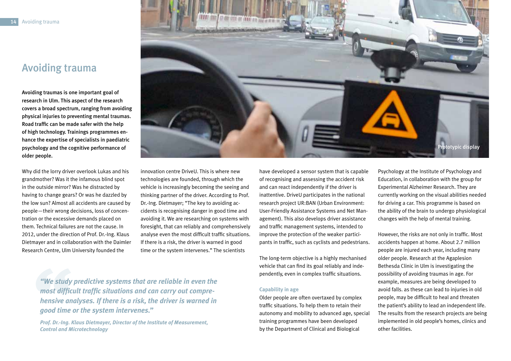# Avoiding trauma

Avoiding traumas is one important goal of research in Ulm. This aspect of the research covers a broad spectrum, ranging from avoiding physical injuries to preventing mental traumas. Road traffic can be made safer with the help of high technology. Trainings programmes enhance the expertise of specialists in paediatric psychology and the cognitive performance of older people.

Why did the lorry driver overlook Lukas and his grandmother? Was it the infamous blind spot in the outside mirror? Was he distracted by having to change gears? Or was he dazzled by the low sun? Almost all accidents are caused by people—their wrong decisions, loss of concentration or the excessive demands placed on them. Technical failures are not the cause. In 2012, under the direction of Prof. Dr.-Ing. Klaus Dietmayer and in collaboration with the Daimler Research Centre, Ulm University founded the



have developed a sensor system that is capable of recognising and assessing the accident risk and can react independently if the driver is inattentive. DriveU participates in the national research project UR:BAN (Urban Environment: User-Friendly Assistance Systems and Net Management). This also develops driver assistance and traffic management systems, intended to improve the protection of the weaker participants in traffic, such as cyclists and pedestrians.

The long-term objective is a highly mechanised vehicle that can find its goal reliably and independently, even in complex traffic situations.

#### **Capability in age**

Older people are often overtaxed by complex traffic situations. To help them to retain their autonomy and mobility to advanced age, special training programmes have been developed by the Department of Clinical and Biological

Psychology at the Institute of Psychology and Education, in collaboration with the group for Experimental Alzheimer Research. They are currently working on the visual abilities needed for driving a car. This programme is based on the ability of the brain to undergo physiological changes with the help of mental training.

However, the risks are not only in traffic. Most accidents happen at home. About 2.7 million people are injured each year, including many older people. Research at the Agaplesion Bethesda Clinic in Ulm is investigating the possibility of avoiding traumas in age. For example, measures are being developed to avoid falls. as these can lead to injuries in old people, may be difficult to heal and threaten the patient's ability to lead an independent life. The results from the research projects are being implemented in old people's homes, clinics and other facilities.

*"We study predictive systems that are reliable in even the most difficult traffic situations and can carry out comprehensive analyses. If there is a risk, the driver is warned in good time or the system intervenes."*

*Prof. Dr.-Ing. Klaus Dietmayer, Director of the Institute of Measurement, Control and Microtechnology*

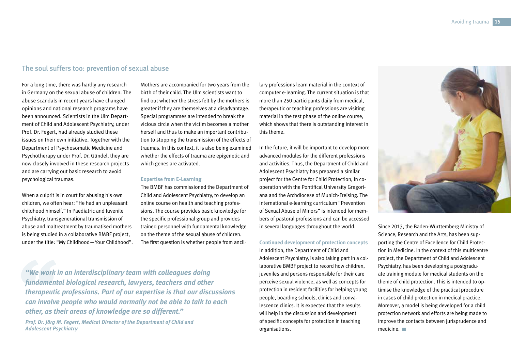#### The soul suffers too: prevention of sexual abuse

For a long time, there was hardly any research in Germany on the sexual abuse of children. The abuse scandals in recent years have changed opinions and national research programs have been announced. Scientists in the Ulm Department of Child and Adolescent Psychiatry, under Prof. Dr. Fegert, had already studied these issues on their own initiative. Together with the Department of Psychosomatic Medicine and Psychotherapy under Prof. Dr. Gündel, they are now closely involved in these research projects and are carrying out basic research to avoid psychological traumas.

When a culprit is in court for abusing his own children, we often hear: "He had an unpleasant childhood himself." In Paediatric and Juvenile Psychiatry, transgenerational transmission of abuse and maltreatment by traumatised mothers is being studied in a collaborative BMBF project, under the title: "My Childhood—Your Childhood". Mothers are accompanied for two years from the birth of their child. The Ulm scientists want to find out whether the stress felt by the mothers is greater if they are themselves at a disadvantage. Special programmes are intended to break the vicious circle when the victim becomes a mother herself and thus to make an important contribution to stopping the transmission of the effects of traumas. In this context, it is also being examined whether the effects of trauma are epigenetic and which genes are activated.

#### **Expertise from E-Learning**

The BMBF has commissioned the Department of Child and Adolescent Psychiatry, to develop an online course on health and teaching professions. The course provides basic knowledge for the specific professional group and provides trained personnel with fundamental knowledge on the theme of the sexual abuse of children. The first question is whether people from ancil-

*"We work in an interdisciplinary team with colleagues doing fundamental biological research, lawyers, teachers and other therapeutic professions. Part of our expertise is that our discussions can involve people who would normally not be able to talk to each other, as their areas of knowledge are so different."* 

*Prof. Dr. Jörg M. Fegert, Medical Director of the Department of Child and Adolescent Psychiatry*

lary professions learn material in the context of computer e-learning. The current situation is that more than 250 participants daily from medical, therapeutic or teaching professions are visiting material in the test phase of the online course, which shows that there is outstanding interest in this theme.

In the future, it will be important to develop more advanced modules for the different professions and activities. Thus, the Department of Child and Adolescent Psychiatry has prepared a similar project for the Centre for Child Protection, in cooperation with the Pontifical University Gregoriana and the Archdiocese of Munich-Freising. The international e-learning curriculum "Prevention of Sexual Abuse of Minors" is intended for members of pastoral professions and can be accessed in several languages throughout the world.

#### **Continued development of protection concepts**

In addition, the Department of Child and Adolescent Psychiatry, is also taking part in a collaborative BMBF project to record how children, juveniles and persons responsible for their care perceive sexual violence, as well as concepts for protection in resident facilities for helping young people, boarding schools, clinics and convalescence clinics. It is expected that the results will help in the discussion and development of specific concepts for protection in teaching organisations.



Since 2013, the Baden-Württemberg Ministry of Science, Research and the Arts, has been supporting the Centre of Excellence for Child Protection in Medicine. In the context of this multicentre project, the Department of Child and Adolescent Psychiatry, has been developing a postgraduate training module for medical students on the theme of child protection. This is intended to optimise the knowledge of the practical procedure in cases of child protection in medical practice. Moreover, a model is being developed for a child protection network and efforts are being made to improve the contacts between jurisprudence and medicine.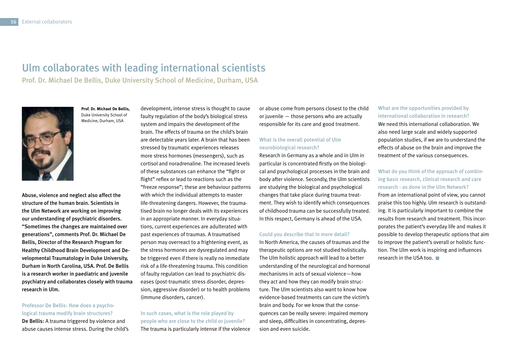# Ulm collaborates with leading international scientists

Prof. Dr. Michael De Bellis, Duke University School of Medicine, Durham, USA



**Prof. Dr. Michael De Bellis,** Duke University School of Medicine, Durham, USA

Abuse, violence and neglect also affect the structure of the human brain. Scientists in the Ulm Network are working on improving our understanding of psychiatric disorders. "Sometimes the changes are maintained over generations", comments Prof. Dr. Michael De Bellis, Director of the Research Program for Healthy Childhood Brain Development and Developmental Traumatology in Duke University, Durham in North Carolina, USA. Prof. De Bellis is a research worker in paediatric and juvenile psychiatry and collaborates closely with trauma research in Ulm.

#### Professor De Bellis: How does a psychological trauma modify brain structures?

De Bellis: A trauma triggered by violence and abuse causes intense stress. During the child's development, intense stress is thought to cause faulty regulation of the body's biological stress system and impairs the development of the brain. The effects of trauma on the child's brain are detectable years later. A brain that has been stressed by traumatic experiences releases more stress hormones (messengers), such as cortisol and noradrenaline. The increased levels of these substances can enhance the "fight or flight" reflex or lead to reactions such as the "freeze response"; these are behaviour patterns with which the individual attempts to master life-threatening dangers. However, the traumatised brain no longer deals with its experiences in an appropriate manner. In everyday situations, current experiences are adulterated with past experiences of traumas. A traumatised person may overreact to a frightening event, as the stress hormones are dysregulated and may be triggered even if there is really no immediate risk of a life-threatening trauma. This condition of faulty regulation can lead to psychiatric diseases (post-traumatic stress disorder, depression, aggressive disorder) or to health problems (immune disorders, cancer).

In such cases, what is the role played by people who are close to the child or juvenile? The trauma is particularly intense if the violence or abuse come from persons closest to the child or juvenile — those persons who are actually responsible for its care and good treatment.

#### What is the overall potential of Ulm neurobiological research?

Research in Germany as a whole and in Ulm in particular is concentrated firstly on the biological and psychological processes in the brain and body after violence. Secondly, the Ulm scientists are studying the biological and psychological changes that take place during trauma treatment. They wish to identify which consequences of childhood trauma can be successfully treated. In this respect, Germany is ahead of the USA.

#### Could you describe that in more detail?

In North America, the causes of traumas and the therapeutic options are not studied holistically. The Ulm holistic approach will lead to a better understanding of the neurological and hormonal mechanisms in acts of sexual violence—how they act and how they can modify brain structure. The Ulm scientists also want to know how evidence-based treatments can cure the victim's brain and body. For we know that the consequences can be really severe: impaired memory and sleep, difficulties in concentrating, depression and even suicide.

What are the opportunities provided by international collaboration in research? We need this international collaboration. We also need large scale and widely supported population studies, if we are to understand the effects of abuse on the brain and improve the treatment of the various consequences.

What do you think of the approach of combining basic research, clinical research and care research - as done in the Ulm Network? From an international point of view, you cannot praise this too highly. Ulm research is outstanding. It is particularly important to combine the results from research and treatment. This incorporates the patient's everyday life and makes it possible to develop therapeutic options that aim to improve the patient's overall or holistic function. The Ulm work is inspiring and influences research in the USA too.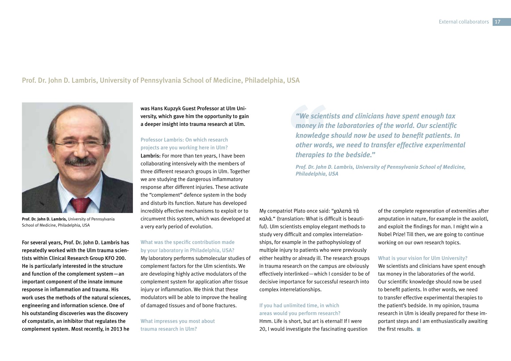#### Prof. Dr. John D. Lambris, University of Pennsylvania School of Medicine, Philadelphia, USA



**Prof. Dr. John D. Lambris,** University of Pennsylvania School of Medicine, Philadelphia, USA

For several years, Prof. Dr. John D. Lambris has repeatedly worked with the Ulm trauma scientists within Clinical Research Group KFO 200. He is particularly interested in the structure and function of the complement system—an important component of the innate immune response in inflammation and trauma. His work uses the methods of the natural sciences, engineering and information science. One of his outstanding discoveries was the discovery of compstatin, an inhibitor that regulates the complement system. Most recently, in 2013 he

was Hans Kupzyk Guest Professor at Ulm University, which gave him the opportunity to gain a deeper insight into trauma research at Ulm.

#### Professor Lambris: On which research projects are you working here in Ulm?

Lambris: For more than ten years, I have been collaborating intensively with the members of three different research groups in Ulm. Together we are studying the dangerous inflammatory response after different injuries. These activate the "complement" defence system in the body and disturb its function. Nature has developed incredibly effective mechanisms to exploit or to circumvent this system, which was developed at a very early period of evolution.

#### What was the specific contribution made by your laboratory in Philadelphia, USA?

My laboratory performs submolecular studies of complement factors for the Ulm scientists. We are developing highly active modulators of the complement system for application after tissue injury or inflammation. We think that these modulators will be able to improve the healing of damaged tissues and of bone fractures.

What impresses you most about trauma research in Ulm?

*"We scientists and clinicians have spent enough tax money in the laboratories of the world. Our scientific knowledge should now be used to benefit patients. In other words, we need to transfer effective experimental therapies to the bedside."* 

*Prof. Dr. John D. Lambris, University of Pennsylvania School of Medicine, Philadelphia, USA*

My compatriot Plato once said: "χαλεπὰ τὰ καλά." (translation: What is difficult is beautiful). Ulm scientists employ elegant methods to study very difficult and complex interrelationships, for example in the pathophysiology of multiple injury to patients who were previously either healthy or already ill. The research groups in trauma research on the campus are obviously effectively interlinked—which I consider to be of decisive importance for successful research into complex interrelationships.

#### If you had unlimited time, in which areas would you perform research?

Hmm. Life is short, but art is eternal! If I were 20, I would investigate the fascinating question of the complete regeneration of extremities after amputation in nature, for example in the axolotl, and exploit the findings for man. I might win a Nobel Prize! Till then, we are going to continue working on our own research topics.

#### What is your vision for Ulm University?

We scientists and clinicians have spent enough tax money in the laboratories of the world. Our scientific knowledge should now be used to benefit patients. In other words, we need to transfer effective experimental therapies to the patient's bedside. In my opinion, trauma research in Ulm is ideally prepared for these important steps and I am enthusiastically awaiting the first results.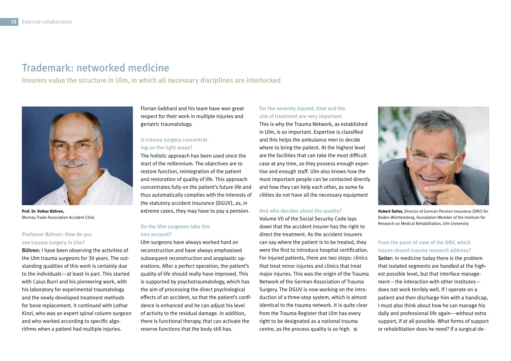# Trademark: networked medicine

Insurers value the structure in Ulm, in which all necessary disciplines are interlocked



**Prof. Dr. Volker Bühren,** Murnau Trade Association Accident Clinic

#### Professor Bühren: How do you see trauma surgery in Ulm?

Bühren: I have been observing the activities of the Ulm trauma surgeons for 30 years. The outstanding qualities of this work is certainly due to the individuals—at least in part. This started with Caius Burri and his pioneering work, with his laboratory for experimental traumatology and the newly developed treatment methods for bone replacement. It continued with Lothar Kinzl, who was an expert spinal column surgeon and who worked according to specific algorithms when a patient had multiple injuries.

Florian Gebhard and his team have won great respect for their work in multiple injuries and geriatric traumatology.

#### Is trauma surgery concentrating on the right areas?

The holistic approach has been used since the start of the millennium. The objectives are to restore function, reintegration of the patient and restoration of quality of life. This approach concentrates fully on the patient's future life and thus automatically complies with the interests of the statutory accident insurance (DGUV), as, in extreme cases, they may have to pay a pension.

#### Do the Ulm surgeons take this into account?

Ulm surgeons have always worked hard on reconstruction and have always emphasised subsequent reconstruction and anaplastic operations. After a perfect operation, the patient's quality of life should really have improved. This is supported by psychotraumatology, which has the aim of processing the direct psychological effects of an accident, so that the patient's confidence is enhanced and he can adjust his level of activity to the residual damage. In addition, there is functional therapy, that can activate the reserve functions that the body still has.

For the severely injured, time and the site of treatment are very important. This is why the Trauma Network, as established in Ulm, is so important. Expertise is classified and this helps the ambulance men to decide where to bring the patient. At the highest level are the facilities that can take the most difficult case at any time, as they possess enough expertise and enough staff. Ulm also knows how the most important people can be contacted directly and how they can help each other, as some facilities do not have all the necessary equipment

#### And who decides about the quality?

Volume VII of the Social Security Code lays down that the accident insurer has the right to direct the treatment. As the accident insurers can say where the patient is to be treated, they were the first to introduce hospital certification. For injured patients, there are two steps: clinics that treat minor injuries and clinics that treat major injuries. This was the origin of the Trauma Network of the German Association of Trauma Surgery. The DGUV is now working on the introduction of a three-step system, which is almost identical to the trauma network. It is quite clear from the Trauma Register that Ulm has every right to be designated as a national trauma centre, as the process quality is so high.  $\blacksquare$ 



**Hubert Seiter,** Director of German Pension Insurance (DRV) for Baden-Württemberg, Foundation Member of the Institute for Research on Medical Rehabilitation, Ulm University

#### From the point of view of the DRV, which issues should trauma research address?

Seiter: In medicine today there is the problem that isolated segments are handled at the highest possible level, but that interface management—the interaction with other institutes does not work terribly well. If I operate on a patient and then discharge him with a handicap, I must also think about how he can manage his daily and professional life again—without extra support, if at all possible. What forms of support or rehabilitation does he need? If a surgical de-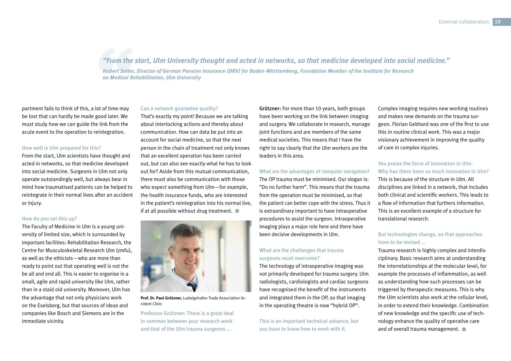*"From the start, Ulm University thought and acted in networks, so that medicine developed into social medicine." Hubert Seiter, Director of German Pension Insurance (DRV) for Baden-Württemberg, Foundation Member of the Institute for Research on Medical Rehabilitation, Ulm University* 

partment fails to think of this, a lot of time may be lost that can hardly be made good later. We must study how we can guide the link from the acute event to the operation to reintegration.

#### How well is Ulm prepared for this?

From the start, Ulm scientists have thought and acted in networks, so that medicine developed into social medicine. Surgeons in Ulm not only operate outstandingly well, but always bear in mind how traumatised patients can be helped to reintegrate in their normal lives after an accident or injury.

#### How do you set this up?

The Faculty of Medicine in Ulm is a young university of limited size, which is surrounded by important facilities: Rehabilitation Research, the Centre for Musculoskeletal Research Ulm (zmfu), as well as the ethicists—who are more than ready to point out that operating well is not the be all and end all. This is easier to organise in a small, agile and rapid university like Ulm, rather than in a staid old university. Moreover, Ulm has the advantage that not only physicians work on the Eselsberg, but that sources of ideas and companies like Bosch and Siemens are in the immediate vicinity.

#### Can a network guarantee quality?

That's exactly my point! Because we are talking about interlocking actions and thereby about communication. How can data be put into an account for social medicine, so that the next person in the chain of treatment not only knows that an excellent operation has been carried out, but can also see exactly what he has to look out for? Aside from this mutual communication, there must also be communication with those who expect something from Ulm—for example, the health insurance funds, who are interested in the patient's reintegration into his normal live, if at all possible without drug treatment.  $\blacksquare$ 



**Prof. Dr. Paul Grützner,** Ludwigshafen Trade Association Accident Clinic

Professor Grützner: There is a great deal in common between your research work and that of the Ulm trauma surgeons ...

Grützner: For more than 10 years, both groups have been working on the link between imaging and surgery. We collaborate in research, manage joint functions and are members of the same medical societies. This means that I have the right to say clearly that the Ulm workers are the leaders in this area.

#### What are the advantages of computer navigation?

The OP trauma must be minimised. Our slogan is: "Do no further harm". This means that the trauma from the operation must be minimised, so that the patient can better cope with the stress. Thus it is extraordinary important to have intraoperative procedures to assist the surgeon. Intraoperative imaging plays a major role here and there have been decisive developments in Ulm.

#### What are the challenges that trauma surgeons must overcome?

The technology of intraoperative imaging was not primarily developed for trauma surgery. Ulm radiologists, cardiologists and cardiac surgeons have recognised the benefit of the instruments and integrated them in the OP, so that imaging in the operating theatre is now "hybrid OP".

This is an important technical advance, but you have to know how to work with it.

Complex imaging requires new working routines and makes new demands on the trauma surgeon. Florian Gebhard was one of the first to use this in routine clinical work. This was a major visionary achievement in improving the quality of care in complex injuries.

You praise the force of innovation in Ulm. Why has there been so much innovation in Ulm? This is because of the structure in Ulm. All disciplines are linked in a network, that includes both clinical and scientific workers. This leads to a flow of information that furthers information. This is an excellent example of a structure for translational research.

#### But technologies change, so that approaches have to be revised

Trauma research is highly complex and interdisciplinary. Basic research aims at understanding the interrelationships at the molecular level, for example the processes of inflammation, as well as understanding how such processes can be triggered by therapeutic measures. This is why the Ulm scientists also work at the cellular level, in order to extend their knowledge. Combination of new knowledge and the specific use of technology enhance the quality of operative care and of overall trauma management.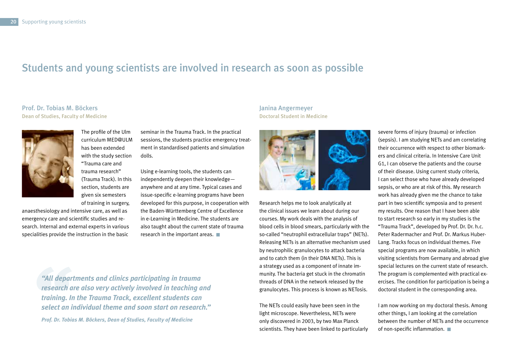# Students and young scientists are involved in research as soon as possible

#### Prof. Dr. Tobias M. Böckers Dean of Studies, Faculty of Medicine



The profile of the Ulm curriculum MED@ULM has been extended with the study section "Trauma care and trauma research" (Trauma Track). In this section, students are given six semesters of training in surgery,

anaesthesiology and intensive care, as well as emergency care and scientific studies and research. Internal and external experts in various specialities provide the instruction in the basic

seminar in the Trauma Track. In the practical sessions, the students practice emergency treatment in standardised patients and simulation dolls.

Using e-learning tools, the students can independently deepen their knowledge anywhere and at any time. Typical cases and issue-specific e-learning programs have been developed for this purpose, in cooperation with the Baden-Württemberg Centre of Excellence in e-Learning in Medicine. The students are also taught about the current state of trauma research in the important areas.

*"All departments and clinics participating in trauma research are also very actively involved in teaching and training. In the Trauma Track, excellent students can select an individual theme and soon start on research." Prof. Dr. Tobias M. Böckers, Dean of Studies, Faculty of Medicine*

#### Janina Angermeyer Doctoral Student in Medicine



Research helps me to look analytically at the clinical issues we learn about during our courses. My work deals with the analysis of blood cells in blood smears, particularly with the so-called "neutrophil extracellular traps" (NETs). Releasing NETs is an alternative mechanism used by neutrophilic granulocytes to attack bacteria and to catch them (in their DNA NETs). This is a strategy used as a component of innate immunity. The bacteria get stuck in the chromatin threads of DNA in the network released by the granulocytes. This process is known as NETosis.

The NETs could easily have been seen in the light microscope. Nevertheless, NETs were only discovered in 2003, by two Max Planck scientists. They have been linked to particularly

severe forms of injury (trauma) or infection (sepsis). I am studying NETs and am correlating their occurrence with respect to other biomarkers and clinical criteria. In Intensive Care Unit G1, I can observe the patients and the course of their disease. Using current study criteria, I can select those who have already developed sepsis, or who are at risk of this. My research work has already given me the chance to take part in two scientific symposia and to present my results. One reason that I have been able to start research so early in my studies is the "Trauma Track", developed by Prof. Dr. Dr. h.c. Peter Radermacher and Prof. Dr. Markus Huber-Lang. Tracks focus on individual themes. Five special programs are now available, in which visiting scientists from Germany and abroad give special lectures on the current state of research. The program is complemented with practical exercises. The condition for participation is being a doctoral student in the corresponding area.

I am now working on my doctoral thesis. Among other things, I am looking at the correlation between the number of NETs and the occurrence of non-specific inflammation.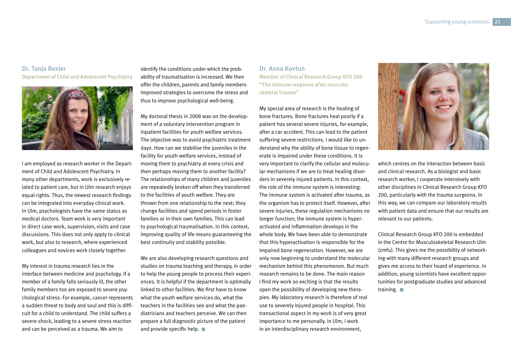#### Dr. Tanja Besier Department of Child and Adolescent Psychiatry



I am employed as research worker in the Department of Child and Adolescent Psychiatry. In many other departments, work is exclusively related to patient care, but in Ulm research enjoys equal rights. Thus, the newest research findings can be integrated into everyday clinical work. In Ulm, psychologists have the same status as medical doctors. Team work is very important in direct case work, supervision, visits and case discussions. This does not only apply to clinical work, but also to research, where experienced colleagues and novices work closely together.

My interest in trauma research lies in the interface between medicine and psychology. If a member of a family falls seriously ill, the other family members too are exposed to severe psychological stress. For example, cancer represents a sudden threat to body and soul and this is difficult for a child to understand. The child suffers a severe shock, leading to a severe stress reaction and can be perceived as a trauma. We aim to

identify the conditions under which the probability of traumatisation is increased. We then offer the children, parents and family members improved strategies to overcome the stress and thus to improve psychological well-being.

My doctoral thesis in 2008 was on the development of a voluntary intervention program in inpatient facilities for youth welfare services. The objective was to avoid psychiatric treatment days. How can we stabilise the juveniles in the facility for youth welfare services, instead of moving them to psychiatry at every crisis and then perhaps moving them to another facility? The relationships of many children and juveniles are repeatedly broken off when they transferred to the facilities of youth welfare. They are thrown from one relationship to the next; they change facilities and spend periods in foster families or in their own families. This can lead to psychological traumatisation. In this context, improving quality of life means guaranteeing the best continuity and stability possible.

We are also developing research questions and studies on trauma teaching and therapy, in order to help the young people to process their experiences. It is helpful if the department is optimally linked to other facilities. We first have to know what the youth welfare services do, what the teachers in the facilities see and what the paediatricians and teachers perceive. We can then prepare a full diagnostic picture of the patient and provide specific help.

Dr. Anna Kovtun Member of Clinical Research Group KFO 200 "The immune response after musculoskeletal trauma"

My special area of research is the healing of bone fractures. Bone fractures heal poorly if a patient has several severe injuries, for example, after a car accident. This can lead to the patient suffering severe restrictions. I would like to understand why the ability of bone tissue to regenerate is impaired under these conditions. It is very important to clarify the cellular and molecular mechanisms if we are to treat healing disorders in severely injured patients. In this context, the role of the immune system is interesting. The immune system is activated after trauma, as the organism has to protect itself. However, after severe injuries, these regulation mechanisms no longer function; the immune system is hyperactivated and inflammation develops in the whole body. We have been able to demonstrate that this hyperactivation is responsible for the impaired bone regeneration. However, we are only now beginning to understand the molecular mechanism behind this phenomenon. But much research remains to be done. The main reason I find my work so exciting is that the results open the possibility of developing new therapies. My laboratory research is therefore of real use to severely injured people in hospital. This transactional aspect in my work is of very great importance to me personally. In Ulm, I work in an interdisciplinary research environment,



which centres on the interaction between basic and clinical research. As a biologist and basic research worker, I cooperate intensively with other disciplines in Clinical Research Group KFO 200, particularly with the trauma surgeons. In this way, we can compare our laboratory results with patient data and ensure that our results are relevant to our patients.

Clinical Research Group KFO 200 is embedded in the Centre for Musculoskeletal Research Ulm (zmfu). This gives me the possibility of networking with many different research groups and gives me access to their hoard of experience. In addition, young scientists have excellent opportunities for postgraduate studies and advanced training.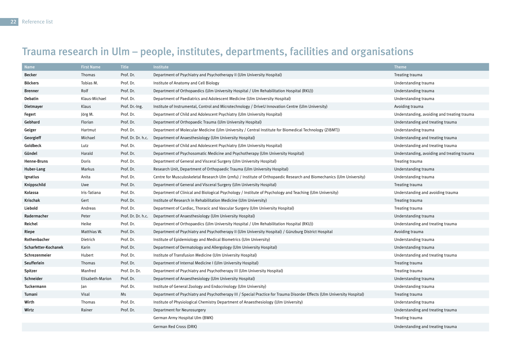# Trauma research in Ulm – people, institutes, departments, facilities and organisations

| Name                 | <b>First Name</b> | <b>Title</b>       | <b>Institute</b>                                                                                                        | <b>Theme</b>                                |
|----------------------|-------------------|--------------------|-------------------------------------------------------------------------------------------------------------------------|---------------------------------------------|
| <b>Becker</b>        | Thomas            | Prof. Dr.          | Department of Psychiatry and Psychotherapy II (Ulm University Hospital)                                                 | Treating trauma                             |
| <b>Böckers</b>       | Tobias M.         | Prof. Dr.          | Institute of Anatomy and Cell Biology                                                                                   | Understanding trauma                        |
| <b>Brenner</b>       | Rolf              | Prof. Dr.          | Department of Orthopaedics (Ulm University Hospital / Ulm Rehabilitation Hospital (RKU))                                | Understanding trauma                        |
| Debatin              | Klaus-Michael     | Prof. Dr.          | Department of Paediatrics and Adolescent Medicine (Ulm University Hospital)                                             | Understanding trauma                        |
| Dietmayer            | Klaus             | Prof. Dr.-Ing.     | Institute of Instrumental, Control and Microtechnology / DriveU Innovation Centre (Ulm University)                      | Avoiding trauma                             |
| Fegert               | Jörg M.           | Prof. Dr.          | Department of Child and Adolescent Psychiatry (Ulm University Hospital)                                                 | Understanding, avoiding and treating trauma |
| Gebhard              | Florian           | Prof. Dr.          | Department of Orthopaedic Trauma (Ulm University Hospital)                                                              | Understanding and treating trauma           |
| Geiger               | Hartmut           | Prof. Dr.          | (ZIBMT) Department of Molecular Medicine (Ulm University / Central Institute for Biomedical Technology                  | Understanding trauma                        |
| Georgieff            | Michael           | Prof. Dr. Dr. h.c. | Department of Anaesthesiology (Ulm University Hospital)                                                                 | Understanding and treating trauma           |
| Goldbeck             | Lutz              | Prof. Dr.          | Department of Child and Adolescent Psychiatry (Ulm University Hospital)                                                 | Understanding and treating trauma           |
| Gündel               | Harald            | Prof. Dr.          | Department of Psychosomatic Medicine and Psychotherapy (Ulm University Hospital)                                        | Understanding, avoiding and treating trauma |
| Henne-Bruns          | Doris             | Prof. Dr.          | Department of General and Visceral Surgery (Ulm University Hospital)                                                    | Treating trauma                             |
| Huber-Lang           | Markus            | Prof. Dr.          | Research Unit, Department of Orthopaedic Trauma (Ulm University Hospital)                                               | Understanding trauma                        |
| Ignatius             | Anita             | Prof. Dr.          | Centre for Musculoskeletal Research Ulm (zmfu) / Institute of Orthopaedic Research and Biomechanics (Ulm University)    | Understanding trauma                        |
| Knippschild          | Uwe               | Prof. Dr.          | Department of General and Visceral Surgery (Ulm University Hospital)                                                    | Treating trauma                             |
| Kolassa              | Iris-Tatiana      | Prof. Dr.          | Department of Clinical and Biological Psychology / Institute of Psychology and Teaching (Ulm University)                | Understanding and avoiding trauma           |
| Krischak             | Gert              | Prof. Dr.          | Institute of Research in Rehabilitation Medicine (Ulm University)                                                       | Treating trauma                             |
| Liebold              | Andreas           | Prof. Dr.          | Department of Cardiac, Thoracic and Vascular Surgery (Ulm University Hospital)                                          | Treating trauma                             |
| Radermacher          | Peter             | Prof. Dr. Dr. h.c. | Department of Anaesthesiology (Ulm University Hospital)                                                                 | Understanding trauma                        |
| Reichel              | Heike             | Prof. Dr.          | Department of Orthopaedics (Ulm University Hospital / Ulm Rehabilitation Hospital (RKU))                                | Understanding and treating trauma           |
| Riepe                | Matthias W.       | Prof. Dr.          | Department of Psychiatry and Psychotherapy II (Ulm University Hospital) / Günzburg District Hospital                    | Avoiding trauma                             |
| Rothenbacher         | Dietrich          | Prof. Dr.          | Institute of Epidemiology and Medical Biometrics (Ulm University)                                                       | Understanding trauma                        |
| Scharfetter-Kochanek | Karin             | Prof. Dr.          | Department of Dermatology and Allergology (Ulm University Hospital)                                                     | Understanding trauma                        |
| Schrezenmeier        | Hubert            | Prof. Dr.          | Institute of Transfusion Medicine (Ulm University Hospital)                                                             | Understanding and treating trauma           |
| Seufferlein          | Thomas            | Prof. Dr.          | Department of Internal Medicine I (Ulm University Hospital)                                                             | Treating trauma                             |
| Spitzer              | Manfred           | Prof. Dr. Dr.      | Department of Psychiatry and Psychotherapy III (Ulm University Hospital)                                                | Treating trauma                             |
| Schneider            | Elisabeth-Marion  | Prof. Dr.          | Department of Anaesthesiology (Ulm University Hospital)                                                                 | Understanding trauma                        |
| Tuckermann           | Jan               | Prof. Dr.          | Institute of General Zoology and Endocrinology (Ulm University)                                                         | Understanding trauma                        |
| Tumani               | Visal             | Ms                 | Department of Psychiatry and Psychotherapy III / Special Practice for Trauma Disorder Effects (Ulm University Hospital) | Treating trauma                             |
| Wirth                | Thomas            | Prof. Dr.          | Institute of Physiological Chemistry Department of Anaesthesiology (Ulm University)                                     | Understanding trauma                        |
| Wirtz                | Rainer            | Prof. Dr.          | Department for Neurosurgery                                                                                             | Understanding and treating trauma           |
|                      |                   |                    | German Army Hospital Ulm (BWK)                                                                                          | Treating trauma                             |
|                      |                   |                    | German Red Cross (DRK)                                                                                                  | Understanding and treating trauma           |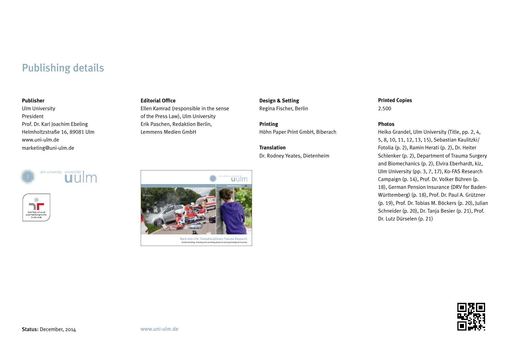# Publishing details

#### **Publisher**

Ulm University President Prof. Dr. Karl Joachim Ebeling Helmholtzstraße 16, 89081 Ulm www.uni-ulm.de marketing@uni-ulm.de





#### **Editorial Office**

Ellen Kamrad (responsible in the sense of the Press Law), Ulm University Erik Paschen, Redaktion Berlin, Lemmens Medien GmbH

**Design & Setting** Regina Fischer, Berlin

**Printing** Höhn Paper Print GmbH, Biberach

**Translation** Dr. Rodney Yeates, Dietenheim

# **Printed Copies**

2.500

#### **Photos**

Heiko Grandel, Ulm University (Title, pp. 2, 4, 5, 8, 10, 11, 12, 13, 15), Sebastian Kaulitzki/ Fotolia (p. 2), Ramin Herati (p. 2), Dr. Heiter Schlenker (p. 2), Department of Trauma Surgery and Biomechanics (p. 2), Elvira Eberhardt, kiz, Ulm University (pp. 3, 7, 17), Ko-FAS Research Campaign (p. 14), Prof. Dr. Volker Bühren (p. 18), German Pension Insurance (DRV for Baden-Württemberg) (p. 18), Prof. Dr. Paul A. Grützner (p. 19), Prof. Dr. Tobias M. Böckers (p. 20), Julian Schneider (p. 20), Dr. Tanja Besier (p. 21), Prof. Dr. Lutz Dürselen (p. 21)